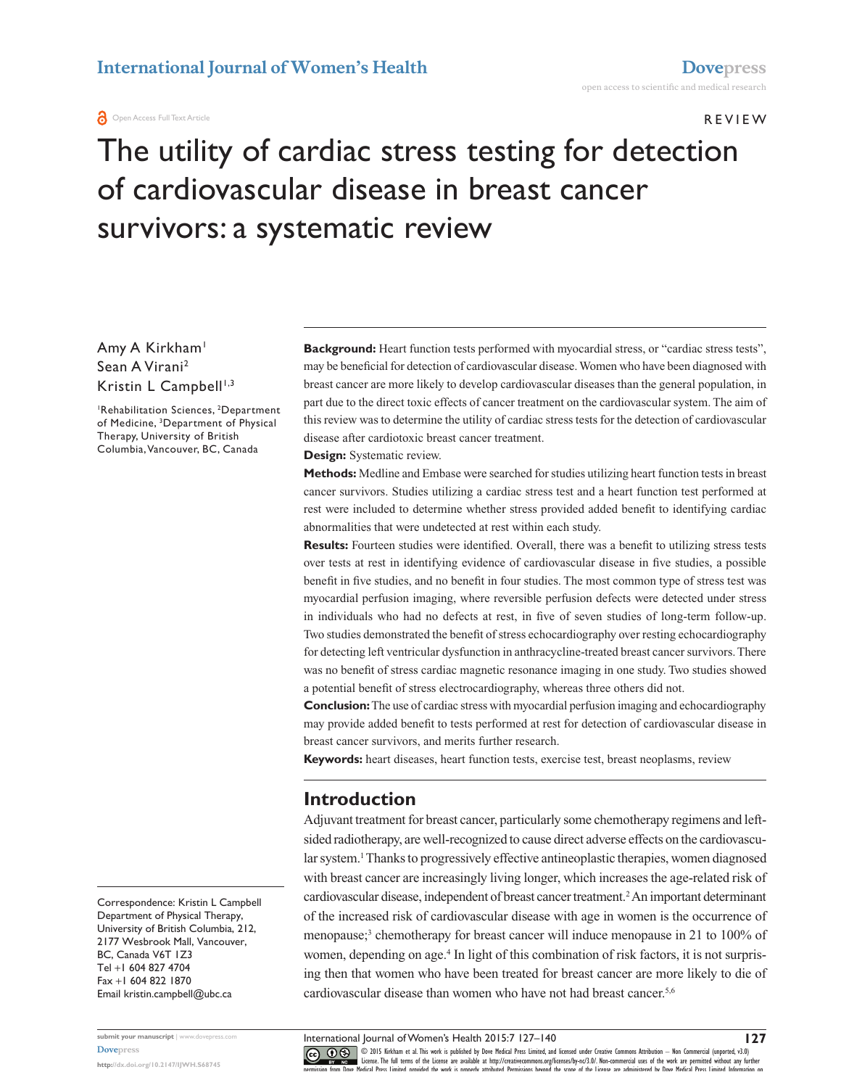#### **REVIEW**

# The utility of cardiac stress testing for detection of cardiovascular disease in breast cancer survivors: a systematic review

Amy A Kirkham1 Sean A Virani2 Kristin L Campbell<sup>1,3</sup>

<sup>1</sup>Rehabilitation Sciences, <sup>2</sup>Department of Medicine, <sup>3</sup>Department of Physical Therapy, University of British Columbia, Vancouver, BC, Canada

Correspondence: Kristin L Campbell Department of Physical Therapy, University of British Columbia, 212, 2177 Wesbrook Mall, Vancouver, BC, Canada V6T 1Z3 Tel +1 604 827 4704 Fax +1 604 822 1870 Email kristin.campbell@ubc.ca

**submit your manuscript** | www.dovepress.com **Dovepress**

**http://dx.doi.org/10.2147/IJWH.S68745**

**Background:** Heart function tests performed with myocardial stress, or "cardiac stress tests", may be beneficial for detection of cardiovascular disease. Women who have been diagnosed with breast cancer are more likely to develop cardiovascular diseases than the general population, in part due to the direct toxic effects of cancer treatment on the cardiovascular system. The aim of this review was to determine the utility of cardiac stress tests for the detection of cardiovascular disease after cardiotoxic breast cancer treatment.

**Design:** Systematic review.

**Methods:** Medline and Embase were searched for studies utilizing heart function tests in breast cancer survivors. Studies utilizing a cardiac stress test and a heart function test performed at rest were included to determine whether stress provided added benefit to identifying cardiac abnormalities that were undetected at rest within each study.

**Results:** Fourteen studies were identified. Overall, there was a benefit to utilizing stress tests over tests at rest in identifying evidence of cardiovascular disease in five studies, a possible benefit in five studies, and no benefit in four studies. The most common type of stress test was myocardial perfusion imaging, where reversible perfusion defects were detected under stress in individuals who had no defects at rest, in five of seven studies of long-term follow-up. Two studies demonstrated the benefit of stress echocardiography over resting echocardiography for detecting left ventricular dysfunction in anthracycline-treated breast cancer survivors. There was no benefit of stress cardiac magnetic resonance imaging in one study. Two studies showed a potential benefit of stress electrocardiography, whereas three others did not.

**Conclusion:** The use of cardiac stress with myocardial perfusion imaging and echocardiography may provide added benefit to tests performed at rest for detection of cardiovascular disease in breast cancer survivors, and merits further research.

**Keywords:** heart diseases, heart function tests, exercise test, breast neoplasms, review

## **Introduction**

Adjuvant treatment for breast cancer, particularly some chemotherapy regimens and leftsided radiotherapy, are well-recognized to cause direct adverse effects on the cardiovascular system.<sup>1</sup> Thanks to progressively effective antineoplastic therapies, women diagnosed with breast cancer are increasingly living longer, which increases the age-related risk of cardiovascular disease, independent of breast cancer treatment.<sup>2</sup> An important determinant of the increased risk of cardiovascular disease with age in women is the occurrence of menopause;<sup>3</sup> chemotherapy for breast cancer will induce menopause in 21 to 100% of women, depending on age.<sup>4</sup> In light of this combination of risk factors, it is not surprising then that women who have been treated for breast cancer are more likely to die of cardiovascular disease than women who have not had breast cancer.<sup>5,6</sup>

International Journal of Women's Health 2015:7 127–140

**127**

CO OD S Linkham et al. This work is published by Dove Medical Press Limited, and licensed under Creative Commons Attribution — Non Commercial (unported, v3.0)<br>License. The full terms of the License are available at http://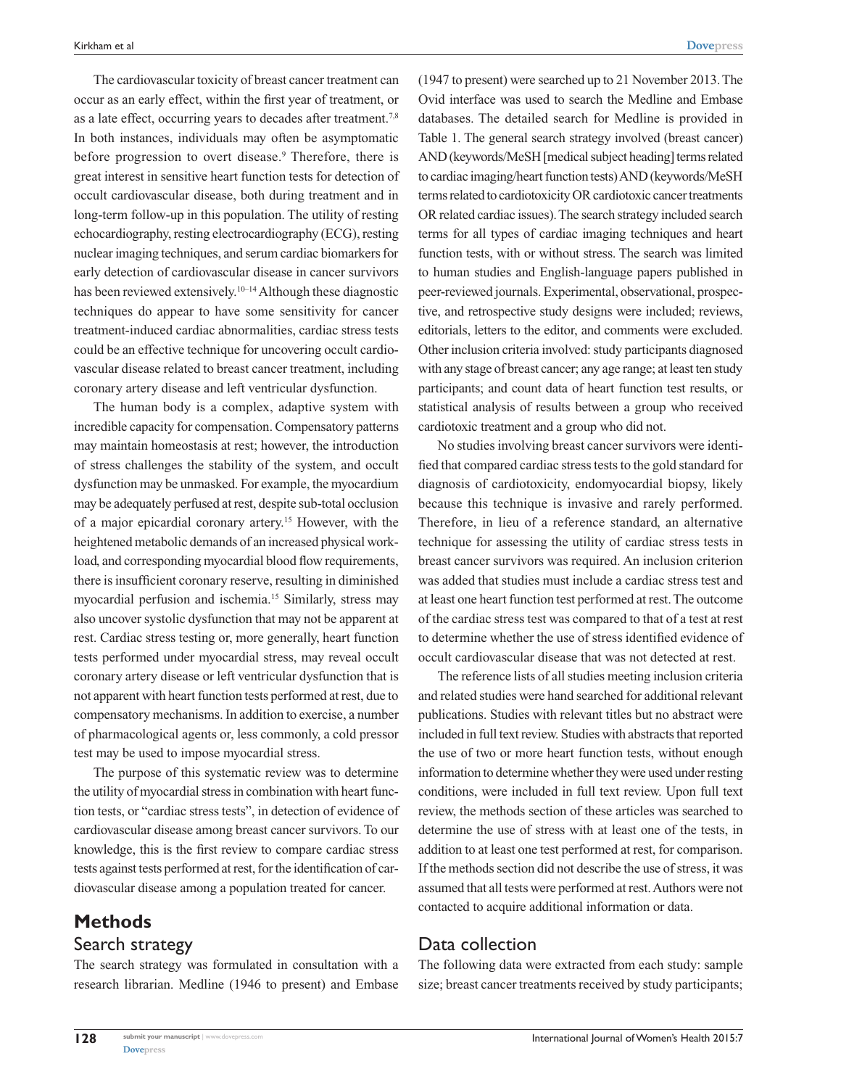The cardiovascular toxicity of breast cancer treatment can occur as an early effect, within the first year of treatment, or as a late effect, occurring years to decades after treatment.7,8 In both instances, individuals may often be asymptomatic before progression to overt disease.<sup>9</sup> Therefore, there is great interest in sensitive heart function tests for detection of occult cardiovascular disease, both during treatment and in long-term follow-up in this population. The utility of resting echocardiography, resting electrocardiography (ECG), resting nuclear imaging techniques, and serum cardiac biomarkers for early detection of cardiovascular disease in cancer survivors has been reviewed extensively.<sup>10–14</sup> Although these diagnostic techniques do appear to have some sensitivity for cancer treatment-induced cardiac abnormalities, cardiac stress tests could be an effective technique for uncovering occult cardiovascular disease related to breast cancer treatment, including coronary artery disease and left ventricular dysfunction.

The human body is a complex, adaptive system with incredible capacity for compensation. Compensatory patterns may maintain homeostasis at rest; however, the introduction of stress challenges the stability of the system, and occult dysfunction may be unmasked. For example, the myocardium may be adequately perfused at rest, despite sub-total occlusion of a major epicardial coronary artery.15 However, with the heightened metabolic demands of an increased physical workload, and corresponding myocardial blood flow requirements, there is insufficient coronary reserve, resulting in diminished myocardial perfusion and ischemia.15 Similarly, stress may also uncover systolic dysfunction that may not be apparent at rest. Cardiac stress testing or, more generally, heart function tests performed under myocardial stress, may reveal occult coronary artery disease or left ventricular dysfunction that is not apparent with heart function tests performed at rest, due to compensatory mechanisms. In addition to exercise, a number of pharmacological agents or, less commonly, a cold pressor test may be used to impose myocardial stress.

The purpose of this systematic review was to determine the utility of myocardial stress in combination with heart function tests, or "cardiac stress tests", in detection of evidence of cardiovascular disease among breast cancer survivors. To our knowledge, this is the first review to compare cardiac stress tests against tests performed at rest, for the identification of cardiovascular disease among a population treated for cancer.

# **Methods** Search strategy

The search strategy was formulated in consultation with a research librarian. Medline (1946 to present) and Embase (1947 to present) were searched up to 21 November 2013. The Ovid interface was used to search the Medline and Embase databases. The detailed search for Medline is provided in Table 1. The general search strategy involved (breast cancer) AND (keywords/MeSH [medical subject heading] terms related to cardiac imaging/heart function tests) AND (keywords/MeSH terms related to cardiotoxicity OR cardiotoxic cancer treatments OR related cardiac issues). The search strategy included search terms for all types of cardiac imaging techniques and heart function tests, with or without stress. The search was limited to human studies and English-language papers published in peer-reviewed journals. Experimental, observational, prospective, and retrospective study designs were included; reviews, editorials, letters to the editor, and comments were excluded. Other inclusion criteria involved: study participants diagnosed with any stage of breast cancer; any age range; at least ten study participants; and count data of heart function test results, or statistical analysis of results between a group who received cardiotoxic treatment and a group who did not.

No studies involving breast cancer survivors were identified that compared cardiac stress tests to the gold standard for diagnosis of cardiotoxicity, endomyocardial biopsy, likely because this technique is invasive and rarely performed. Therefore, in lieu of a reference standard, an alternative technique for assessing the utility of cardiac stress tests in breast cancer survivors was required. An inclusion criterion was added that studies must include a cardiac stress test and at least one heart function test performed at rest. The outcome of the cardiac stress test was compared to that of a test at rest to determine whether the use of stress identified evidence of occult cardiovascular disease that was not detected at rest.

The reference lists of all studies meeting inclusion criteria and related studies were hand searched for additional relevant publications. Studies with relevant titles but no abstract were included in full text review. Studies with abstracts that reported the use of two or more heart function tests, without enough information to determine whether they were used under resting conditions, were included in full text review. Upon full text review, the methods section of these articles was searched to determine the use of stress with at least one of the tests, in addition to at least one test performed at rest, for comparison. If the methods section did not describe the use of stress, it was assumed that all tests were performed at rest. Authors were not contacted to acquire additional information or data.

## Data collection

The following data were extracted from each study: sample size; breast cancer treatments received by study participants;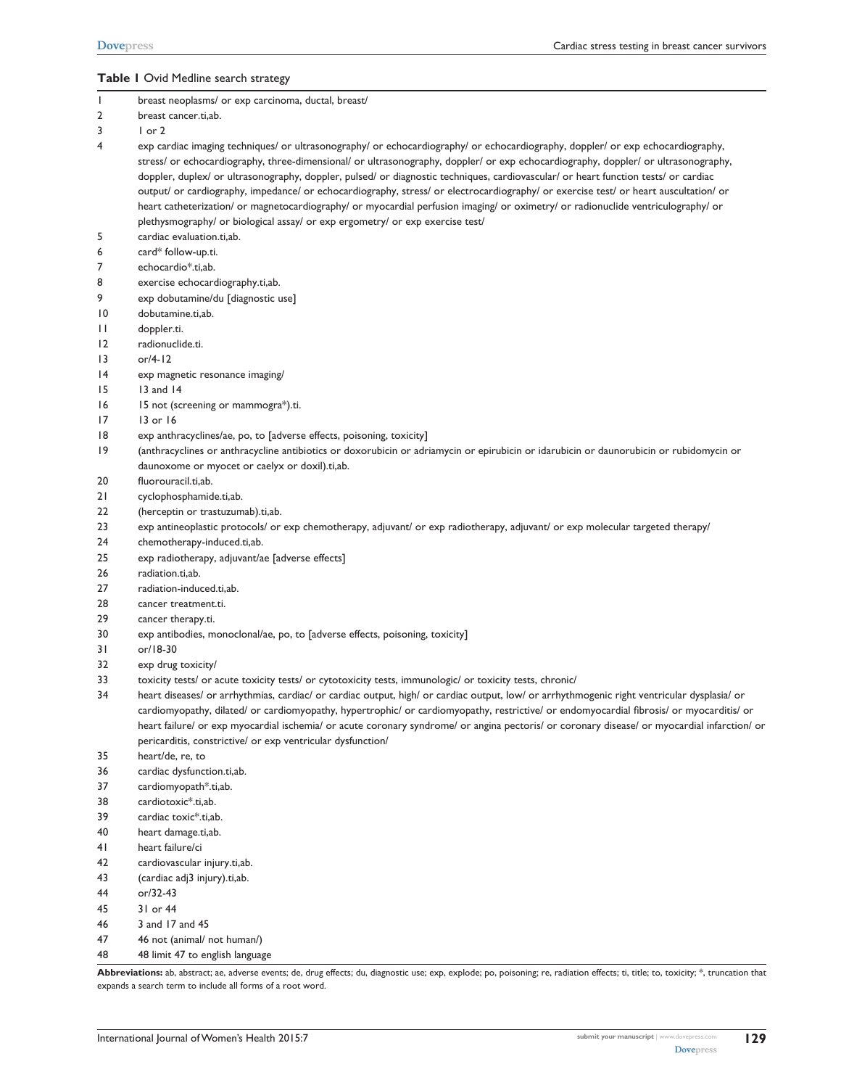|              | Table I Ovid Medline search strategy                                                                                                                                                                                                                                                                                                                                                                                                                                                                                                                                                                                                                                                      |
|--------------|-------------------------------------------------------------------------------------------------------------------------------------------------------------------------------------------------------------------------------------------------------------------------------------------------------------------------------------------------------------------------------------------------------------------------------------------------------------------------------------------------------------------------------------------------------------------------------------------------------------------------------------------------------------------------------------------|
| $\mathbf{I}$ | breast neoplasms/ or exp carcinoma, ductal, breast/                                                                                                                                                                                                                                                                                                                                                                                                                                                                                                                                                                                                                                       |
| 2            | breast cancer.ti,ab.                                                                                                                                                                                                                                                                                                                                                                                                                                                                                                                                                                                                                                                                      |
| 3            | $1$ or $2$                                                                                                                                                                                                                                                                                                                                                                                                                                                                                                                                                                                                                                                                                |
| 4            | exp cardiac imaging techniques/ or ultrasonography/ or echocardiography/ or echocardiography, doppler/ or exp echocardiography,<br>stress/ or echocardiography, three-dimensional/ or ultrasonography, doppler/ or exp echocardiography, doppler/ or ultrasonography,<br>doppler, duplex/ or ultrasonography, doppler, pulsed/ or diagnostic techniques, cardiovascular/ or heart function tests/ or cardiac<br>output/ or cardiography, impedance/ or echocardiography, stress/ or electrocardiography/ or exercise test/ or heart auscultation/ or<br>heart catheterization/ or magnetocardiography/ or myocardial perfusion imaging/ or oximetry/ or radionuclide ventriculography/ or |
|              | plethysmography/ or biological assay/ or exp ergometry/ or exp exercise test/                                                                                                                                                                                                                                                                                                                                                                                                                                                                                                                                                                                                             |
| 5            | cardiac evaluation.ti,ab.                                                                                                                                                                                                                                                                                                                                                                                                                                                                                                                                                                                                                                                                 |
| 6            | card* follow-up.ti.                                                                                                                                                                                                                                                                                                                                                                                                                                                                                                                                                                                                                                                                       |
| 7            | echocardio*.ti,ab.                                                                                                                                                                                                                                                                                                                                                                                                                                                                                                                                                                                                                                                                        |
| 8            | exercise echocardiography.ti,ab.                                                                                                                                                                                                                                                                                                                                                                                                                                                                                                                                                                                                                                                          |
| 9            | exp dobutamine/du [diagnostic use]                                                                                                                                                                                                                                                                                                                                                                                                                                                                                                                                                                                                                                                        |
| 10           | dobutamine.ti,ab.                                                                                                                                                                                                                                                                                                                                                                                                                                                                                                                                                                                                                                                                         |
| $\mathbf{H}$ | doppler.ti.                                                                                                                                                                                                                                                                                                                                                                                                                                                                                                                                                                                                                                                                               |
| 12           | radionuclide.ti.                                                                                                                                                                                                                                                                                                                                                                                                                                                                                                                                                                                                                                                                          |
| 13           | or/4-12                                                                                                                                                                                                                                                                                                                                                                                                                                                                                                                                                                                                                                                                                   |
| 14           | exp magnetic resonance imaging/                                                                                                                                                                                                                                                                                                                                                                                                                                                                                                                                                                                                                                                           |
| 15           | $13$ and $14$                                                                                                                                                                                                                                                                                                                                                                                                                                                                                                                                                                                                                                                                             |
| 16           | 15 not (screening or mammogra*).ti.                                                                                                                                                                                                                                                                                                                                                                                                                                                                                                                                                                                                                                                       |
| 17           | $13$ or $16$                                                                                                                                                                                                                                                                                                                                                                                                                                                                                                                                                                                                                                                                              |
| 18<br>19     | exp anthracyclines/ae, po, to [adverse effects, poisoning, toxicity]<br>(anthracyclines or anthracycline antibiotics or doxorubicin or adriamycin or epirubicin or idarubicin or daunorubicin or rubidomycin or                                                                                                                                                                                                                                                                                                                                                                                                                                                                           |
| 20           | daunoxome or myocet or caelyx or doxil).ti,ab.<br>fluorouracil.ti,ab.                                                                                                                                                                                                                                                                                                                                                                                                                                                                                                                                                                                                                     |
| 21           | cyclophosphamide.ti,ab.                                                                                                                                                                                                                                                                                                                                                                                                                                                                                                                                                                                                                                                                   |
| 22           | (herceptin or trastuzumab).ti,ab.                                                                                                                                                                                                                                                                                                                                                                                                                                                                                                                                                                                                                                                         |
| 23           | exp antineoplastic protocols/ or exp chemotherapy, adjuvant/ or exp radiotherapy, adjuvant/ or exp molecular targeted therapy/                                                                                                                                                                                                                                                                                                                                                                                                                                                                                                                                                            |
| 24           | chemotherapy-induced.ti,ab.                                                                                                                                                                                                                                                                                                                                                                                                                                                                                                                                                                                                                                                               |
| 25           | exp radiotherapy, adjuvant/ae [adverse effects]                                                                                                                                                                                                                                                                                                                                                                                                                                                                                                                                                                                                                                           |
| 26           | radiation.ti,ab.                                                                                                                                                                                                                                                                                                                                                                                                                                                                                                                                                                                                                                                                          |
| 27           | radiation-induced.ti,ab.                                                                                                                                                                                                                                                                                                                                                                                                                                                                                                                                                                                                                                                                  |
| 28           | cancer treatment.ti.                                                                                                                                                                                                                                                                                                                                                                                                                                                                                                                                                                                                                                                                      |
| 29           | cancer therapy.ti.                                                                                                                                                                                                                                                                                                                                                                                                                                                                                                                                                                                                                                                                        |
| 30           | exp antibodies, monoclonal/ae, po, to [adverse effects, poisoning, toxicity]                                                                                                                                                                                                                                                                                                                                                                                                                                                                                                                                                                                                              |
| 31           | or/18-30                                                                                                                                                                                                                                                                                                                                                                                                                                                                                                                                                                                                                                                                                  |
| 32           | exp drug toxicity/                                                                                                                                                                                                                                                                                                                                                                                                                                                                                                                                                                                                                                                                        |
| 33           | toxicity tests/ or acute toxicity tests/ or cytotoxicity tests, immunologic/ or toxicity tests, chronic/                                                                                                                                                                                                                                                                                                                                                                                                                                                                                                                                                                                  |
| 34           | heart diseases/ or arrhythmias, cardiac/ or cardiac output, high/ or cardiac output, low/ or arrhythmogenic right ventricular dysplasia/ or<br>cardiomyopathy, dilated/ or cardiomyopathy, hypertrophic/ or cardiomyopathy, restrictive/ or endomyocardial fibrosis/ or myocarditis/ or<br>heart failure/ or exp myocardial ischemia/ or acute coronary syndrome/ or angina pectoris/ or coronary disease/ or myocardial infarction/ or<br>pericarditis, constrictive/ or exp ventricular dysfunction/                                                                                                                                                                                    |
| 35           | heart/de, re, to                                                                                                                                                                                                                                                                                                                                                                                                                                                                                                                                                                                                                                                                          |
| 36           | cardiac dysfunction.ti,ab.                                                                                                                                                                                                                                                                                                                                                                                                                                                                                                                                                                                                                                                                |
| 37           | cardiomyopath*.ti,ab.                                                                                                                                                                                                                                                                                                                                                                                                                                                                                                                                                                                                                                                                     |
| 38           | cardiotoxic*.ti,ab.                                                                                                                                                                                                                                                                                                                                                                                                                                                                                                                                                                                                                                                                       |
| 39           | cardiac toxic*.ti,ab.                                                                                                                                                                                                                                                                                                                                                                                                                                                                                                                                                                                                                                                                     |
| 40           | heart damage.ti,ab.                                                                                                                                                                                                                                                                                                                                                                                                                                                                                                                                                                                                                                                                       |
| 41           | heart failure/ci                                                                                                                                                                                                                                                                                                                                                                                                                                                                                                                                                                                                                                                                          |
| 42           | cardiovascular injury.ti,ab.                                                                                                                                                                                                                                                                                                                                                                                                                                                                                                                                                                                                                                                              |
| 43<br>44     | (cardiac adj3 injury).ti,ab.<br>or/32-43                                                                                                                                                                                                                                                                                                                                                                                                                                                                                                                                                                                                                                                  |
| 45           | 31 or 44                                                                                                                                                                                                                                                                                                                                                                                                                                                                                                                                                                                                                                                                                  |
| 46           | 3 and 17 and 45                                                                                                                                                                                                                                                                                                                                                                                                                                                                                                                                                                                                                                                                           |
| 47           | 46 not (animal/ not human/)                                                                                                                                                                                                                                                                                                                                                                                                                                                                                                                                                                                                                                                               |
| 48           | 48 limit 47 to english language                                                                                                                                                                                                                                                                                                                                                                                                                                                                                                                                                                                                                                                           |
|              | Abbreviations: ab, abstract; ae, adverse events; de, drug effects; du, diagnostic use; exp, explode; po, poisoning; re, radiation effects; ti, title; to, toxicity; *, truncation that                                                                                                                                                                                                                                                                                                                                                                                                                                                                                                    |
|              | expands a search term to include all forms of a root word.                                                                                                                                                                                                                                                                                                                                                                                                                                                                                                                                                                                                                                |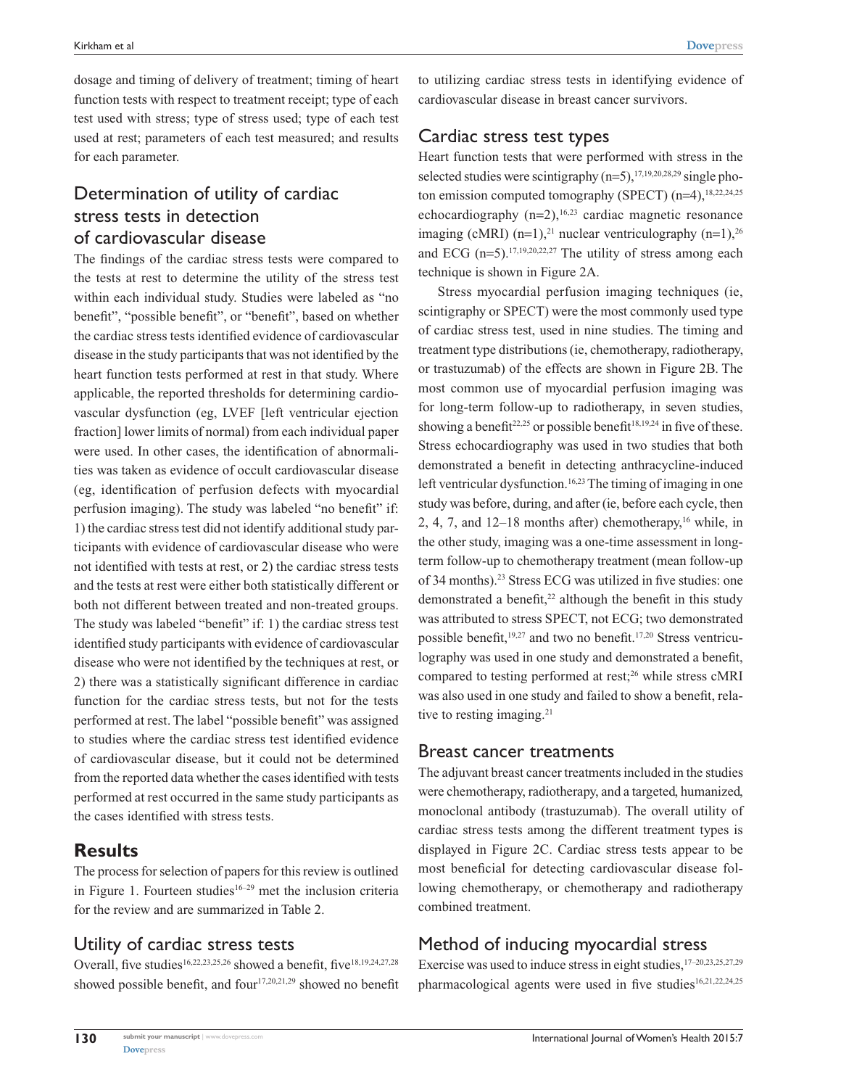dosage and timing of delivery of treatment; timing of heart function tests with respect to treatment receipt; type of each test used with stress; type of stress used; type of each test used at rest; parameters of each test measured; and results for each parameter.

# Determination of utility of cardiac stress tests in detection of cardiovascular disease

The findings of the cardiac stress tests were compared to the tests at rest to determine the utility of the stress test within each individual study. Studies were labeled as "no benefit", "possible benefit", or "benefit", based on whether the cardiac stress tests identified evidence of cardiovascular disease in the study participants that was not identified by the heart function tests performed at rest in that study. Where applicable, the reported thresholds for determining cardiovascular dysfunction (eg, LVEF [left ventricular ejection fraction] lower limits of normal) from each individual paper were used. In other cases, the identification of abnormalities was taken as evidence of occult cardiovascular disease (eg, identification of perfusion defects with myocardial perfusion imaging). The study was labeled "no benefit" if: 1) the cardiac stress test did not identify additional study participants with evidence of cardiovascular disease who were not identified with tests at rest, or 2) the cardiac stress tests and the tests at rest were either both statistically different or both not different between treated and non-treated groups. The study was labeled "benefit" if: 1) the cardiac stress test identified study participants with evidence of cardiovascular disease who were not identified by the techniques at rest, or 2) there was a statistically significant difference in cardiac function for the cardiac stress tests, but not for the tests performed at rest. The label "possible benefit" was assigned to studies where the cardiac stress test identified evidence of cardiovascular disease, but it could not be determined from the reported data whether the cases identified with tests performed at rest occurred in the same study participants as the cases identified with stress tests.

## **Results**

The process for selection of papers for this review is outlined in Figure 1. Fourteen studies $16-29$  met the inclusion criteria for the review and are summarized in Table 2.

# Utility of cardiac stress tests

Overall, five studies<sup>16,22,23,25,26</sup> showed a benefit, five<sup>18,19,24,27,28</sup> showed possible benefit, and four<sup>17,20,21,29</sup> showed no benefit

to utilizing cardiac stress tests in identifying evidence of cardiovascular disease in breast cancer survivors.

#### Cardiac stress test types

Heart function tests that were performed with stress in the selected studies were scintigraphy  $(n=5)$ ,  $17,19,20,28,29$  single photon emission computed tomography (SPECT)  $(n=4)$ , <sup>18,22,24,25</sup> echocardiography  $(n=2)$ ,<sup>16,23</sup> cardiac magnetic resonance imaging (cMRI)  $(n=1)$ ,<sup>21</sup> nuclear ventriculography  $(n=1)$ ,<sup>26</sup> and ECG  $(n=5)$ .<sup>17,19,20,22,27</sup> The utility of stress among each technique is shown in Figure 2A.

Stress myocardial perfusion imaging techniques (ie, scintigraphy or SPECT) were the most commonly used type of cardiac stress test, used in nine studies. The timing and treatment type distributions (ie, chemotherapy, radiotherapy, or trastuzumab) of the effects are shown in Figure 2B. The most common use of myocardial perfusion imaging was for long-term follow-up to radiotherapy, in seven studies, showing a benefit<sup> $22,25$ </sup> or possible benefit<sup>18,19,24</sup> in five of these. Stress echocardiography was used in two studies that both demonstrated a benefit in detecting anthracycline-induced left ventricular dysfunction.<sup>16,23</sup> The timing of imaging in one study was before, during, and after (ie, before each cycle, then 2, 4, 7, and  $12-18$  months after) chemotherapy,<sup>16</sup> while, in the other study, imaging was a one-time assessment in longterm follow-up to chemotherapy treatment (mean follow-up of 34 months).23 Stress ECG was utilized in five studies: one demonstrated a benefit, $2<sup>2</sup>$  although the benefit in this study was attributed to stress SPECT, not ECG; two demonstrated possible benefit,19,27 and two no benefit.17,20 Stress ventriculography was used in one study and demonstrated a benefit, compared to testing performed at rest;26 while stress cMRI was also used in one study and failed to show a benefit, relative to resting imaging.<sup>21</sup>

#### Breast cancer treatments

The adjuvant breast cancer treatments included in the studies were chemotherapy, radiotherapy, and a targeted, humanized, monoclonal antibody (trastuzumab). The overall utility of cardiac stress tests among the different treatment types is displayed in Figure 2C. Cardiac stress tests appear to be most beneficial for detecting cardiovascular disease following chemotherapy, or chemotherapy and radiotherapy combined treatment.

# Method of inducing myocardial stress

Exercise was used to induce stress in eight studies,  $17-20,23,25,27,29$ pharmacological agents were used in five studies<sup>16,21,22,24,25</sup>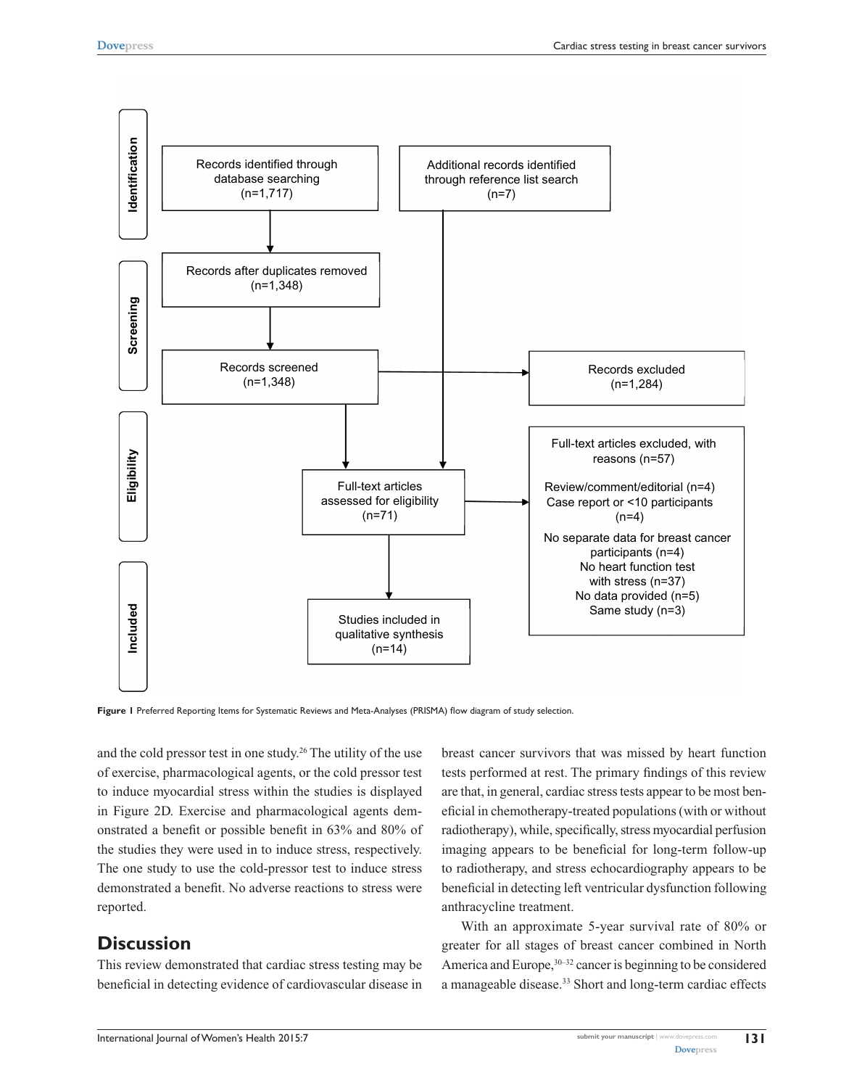

**Figure 1** Preferred Reporting Items for Systematic Reviews and Meta-Analyses (PRISMA) flow diagram of study selection.

and the cold pressor test in one study.<sup>26</sup> The utility of the use of exercise, pharmacological agents, or the cold pressor test to induce myocardial stress within the studies is displayed in Figure 2D. Exercise and pharmacological agents demonstrated a benefit or possible benefit in 63% and 80% of the studies they were used in to induce stress, respectively. The one study to use the cold-pressor test to induce stress demonstrated a benefit. No adverse reactions to stress were reported.

## **Discussion**

This review demonstrated that cardiac stress testing may be beneficial in detecting evidence of cardiovascular disease in breast cancer survivors that was missed by heart function tests performed at rest. The primary findings of this review are that, in general, cardiac stress tests appear to be most beneficial in chemotherapy-treated populations (with or without radiotherapy), while, specifically, stress myocardial perfusion imaging appears to be beneficial for long-term follow-up to radiotherapy, and stress echocardiography appears to be beneficial in detecting left ventricular dysfunction following anthracycline treatment.

With an approximate 5-year survival rate of 80% or greater for all stages of breast cancer combined in North America and Europe,<sup>30–32</sup> cancer is beginning to be considered a manageable disease.33 Short and long-term cardiac effects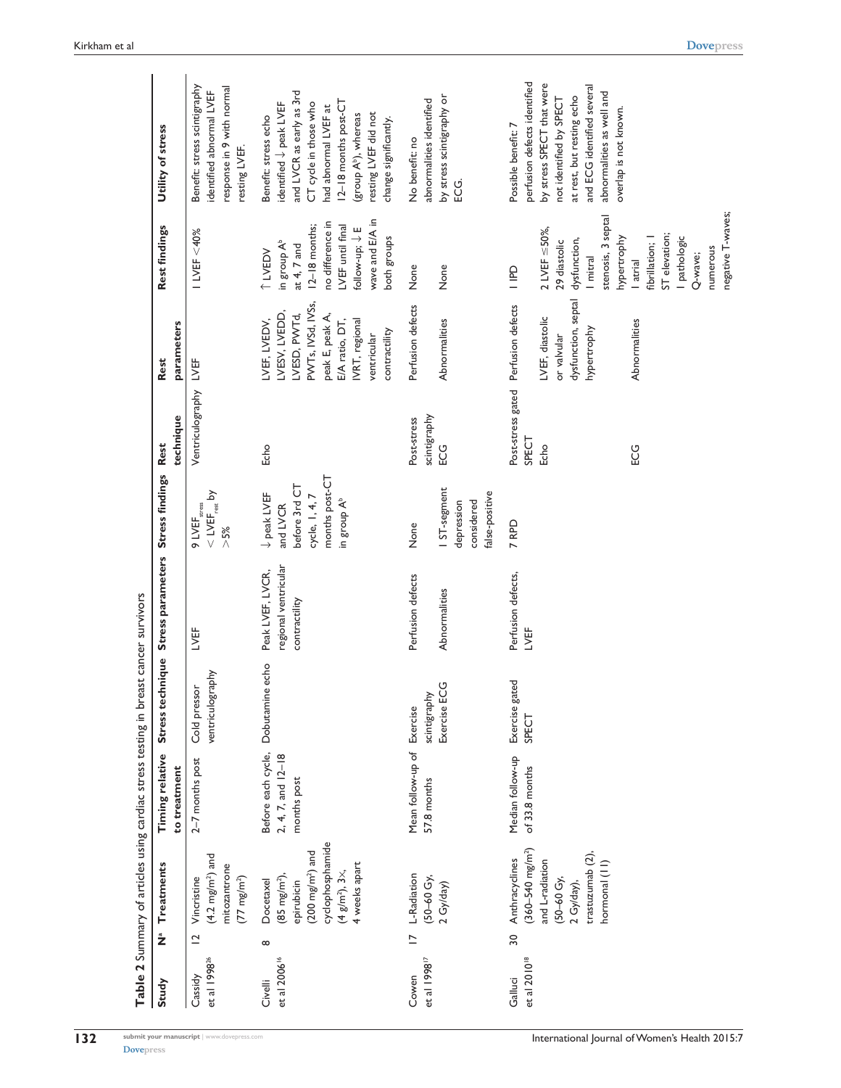|                                     |                          |                                                                                                                                          |                                                         | Table 2 Summary of articles using cardiac stress testing in breast cancer survivors |                                                           |                                                                                                         |                                           |                                                                                                                                                           |                                                                                                                                                                                                                |                                                                                                                                                                                                                                                     |
|-------------------------------------|--------------------------|------------------------------------------------------------------------------------------------------------------------------------------|---------------------------------------------------------|-------------------------------------------------------------------------------------|-----------------------------------------------------------|---------------------------------------------------------------------------------------------------------|-------------------------------------------|-----------------------------------------------------------------------------------------------------------------------------------------------------------|----------------------------------------------------------------------------------------------------------------------------------------------------------------------------------------------------------------|-----------------------------------------------------------------------------------------------------------------------------------------------------------------------------------------------------------------------------------------------------|
| Study                               | ż                        | <b>Treatments</b>                                                                                                                        | Timing relative<br>to treatment                         | Stress technique                                                                    | Stress parameters                                         | Stress findings                                                                                         | technique<br>Rest                         | parameters<br>Rest                                                                                                                                        | Rest findings                                                                                                                                                                                                  | Utility of stress                                                                                                                                                                                                                                   |
| et al 1998 <sup>26</sup><br>Cassidy | $\overline{2}$           | $(4.2 \text{ mg/m}^2)$ and<br>mitozantrone<br>$(77 \text{ mg/m}^2)$<br>Vincristine                                                       | 2-7 months post                                         | ventriculography<br>Cold pressor                                                    | LVEF                                                      | $<$ LVEF $_{\rm{rest}}$ by<br>$9$ LVEF stress<br>>5%                                                    | Ventriculography LVEF                     |                                                                                                                                                           | ILVEF<40%                                                                                                                                                                                                      | Benefit: stress scintigraphy<br>response in 9 with normal<br>identified abnormal LVEF<br>resting LVEF.                                                                                                                                              |
| et al 2006 <sup>16</sup><br>Civelli | $\infty$                 | cyclophosphamide<br>$(200 \text{ mg/m}^2)$ and<br>4 weeks apart<br>$(4 g/m2)$ , 3×,<br>$(85 \, mg/m2)$ ,<br>Docetaxel<br>epirubicin      | Before each cycle,<br>2, 4, 7, and 12-18<br>months post | Dobutamine echo                                                                     | regional ventricular<br>Peak LVEF, LVCR,<br>contractility | months post-CT<br>before 3rd CT<br>cycle, 1, 4, 7<br>V peak LVEF<br>in group A <sup>b</sup><br>and LVCR | Echo                                      | PWTs, IVSd, IVSs,<br>LVESV, LVEDD,<br>LVESD, PWTd,<br>peak E, peak A,<br>LVEF, LVEDV,<br>E/A ratio, DT,<br>IVRT, regional<br>contractility<br>ventricular | wave and E/A in<br>no difference in<br>12-18 months;<br>LVEF until final<br>follow-up; $\downarrow$ E<br>both groups<br>in group A <sup>b</sup><br>at 4, 7 and<br>T LYEDV                                      | and LVCR as early as 3rd<br>12-18 months post-CT<br>identified $\downarrow$ peak LVEF<br>CT cycle in those who<br>had abnormal LVEF at<br>resting LVEF did not<br>(group A <sup>b</sup> ), whereas<br>Benefit: stress echo<br>change significantly. |
| et al $1998^{17}$<br>Cowen          | $\overline{\phantom{0}}$ | L-Radiation<br>(50-60 Gy,<br>2 Gy/day)                                                                                                   | Mean follow-up of<br>57.8 months                        | Exercise ECG<br>scintigraphy<br>Exercise                                            | Perfusion defects<br>Abnormalities                        | IST-segment<br>false-positive<br>considered<br>depression<br>None                                       | scintigraphy<br>Post-stress<br>ECG        | Perfusion defects<br>Abnormalities                                                                                                                        | None<br>None                                                                                                                                                                                                   | by stress scintigraphy or<br>abnormalities identified<br>No benefit: no<br>ECG.                                                                                                                                                                     |
| et al 2010 <sup>18</sup><br>Galluci | 30                       | $(360 - 540$ mg/m <sup>2</sup> )<br>trastuzumab $(2)$<br>Anthracyclines<br>and L-radiation<br>hormonal (II)<br>$(50 - 60)$<br>2 Gy/day), | Median follow-up<br>of 33.8 months                      | Exercise gated<br>SPECT                                                             | Perfusion defects,<br>LVEF                                | 7 RPD                                                                                                   | Post-stress gated<br>SPECT<br>Echo<br>ပ္မ | dysfunction, septal<br>Perfusion defects<br>LVEF, diastolic<br>Abnormalities<br>hypertrophy<br>or valvular                                                | stenosis, 3 septal<br>$2$ LVEF $\leq$ 50%,<br>ST elevation;<br>fibrillation; I<br>hypertrophy<br>I pathologic<br>dysfunction,<br>29 diastolic<br>numerous<br>Q-wave;<br>I mitral<br>I atrial<br>$\overline{a}$ | perfusion defects identified<br>by stress SPECT that were<br>and ECG identified several<br>abnormalities as well and<br>at rest, but resting echo<br>not identified by SPECT<br>overlap is not known.<br>Possible benefit: 7                        |
|                                     |                          |                                                                                                                                          |                                                         |                                                                                     |                                                           |                                                                                                         |                                           |                                                                                                                                                           | negative T-waves;                                                                                                                                                                                              |                                                                                                                                                                                                                                                     |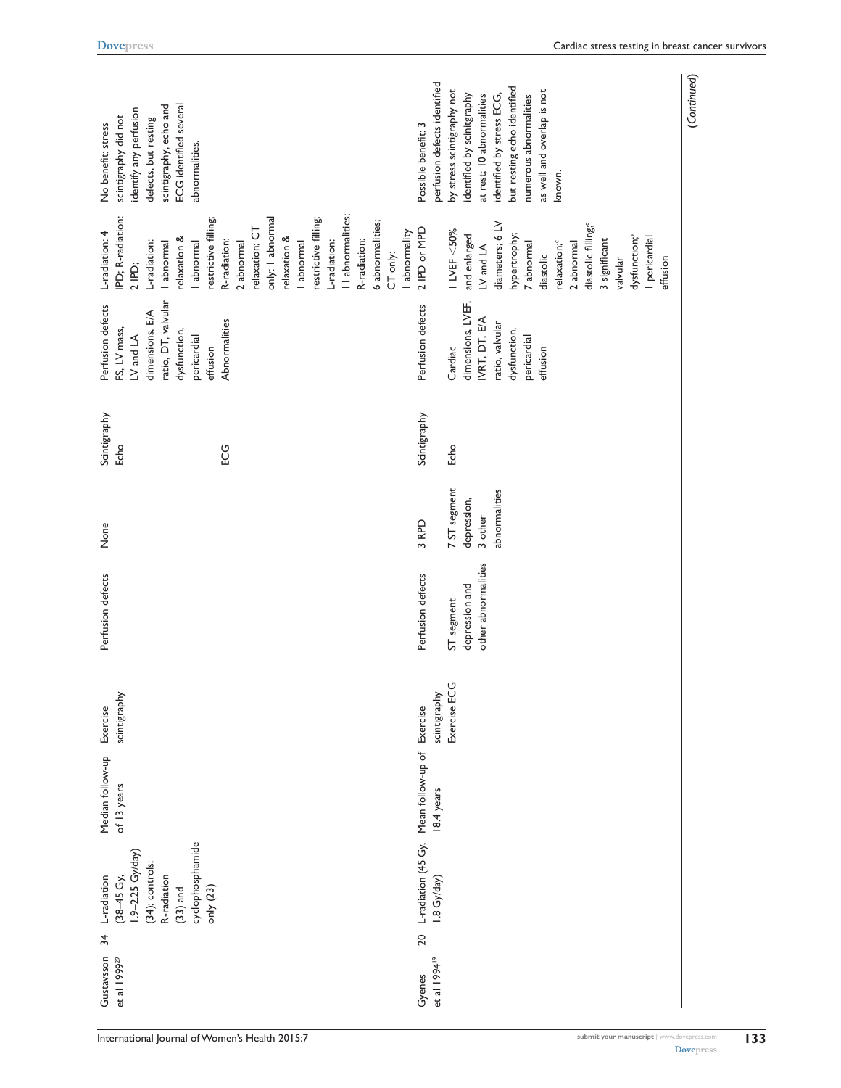| ECG identified several<br>scintigraphy, echo and<br>identify any perfusion<br>scintigraphy did not<br>defects, but resting<br>No benefit: stress<br>abnormalities.                                                                                                                                                                                              | perfusion defects identified<br>but resting echo identified<br>as well and overlap is not<br>by stress scintigraphy not<br>identified by scinitgraphy<br>at rest; 10 abnormalities<br>identified by stress ECG,<br>numerous abnormalities<br>Possible benefit: 3<br>known.                | (Continued) |
|-----------------------------------------------------------------------------------------------------------------------------------------------------------------------------------------------------------------------------------------------------------------------------------------------------------------------------------------------------------------|-------------------------------------------------------------------------------------------------------------------------------------------------------------------------------------------------------------------------------------------------------------------------------------------|-------------|
| II abnormalities;<br>IPD; R-radiation:<br>only: I abnormal<br>restrictive filling;<br>restrictive filling;<br>6 abnormalities;<br>relaxation; CT<br>L-radiation: 4<br>I abnormality<br>relaxation &<br>relaxation &<br>R-radiation:<br>L-radiation:<br>R-radiation:<br>l abnormal<br>L-radiation:<br>abnormal<br>2 abnormal<br>I abnormal<br>CT only:<br>2 IPD; | diameters; 6 LV<br>diastolic filling; <sup>d</sup><br>2 IPD or MPD<br>I LVEF<50%<br>hypertrophy;<br>and enlarged<br>dysfunction; <sup>e</sup><br>I pericardial<br>3 significant<br>7 abnormal<br>relaxation; <sup>c</sup><br>2 abnormal<br>LV and LA<br>diastolic<br>valvular<br>effusion |             |
| ratio, DT, valvular<br>Perfusion defects<br>dimensions, E/A<br>Abnormalities<br>FS, LV mass,<br>dysfunction,<br>LV and LA<br>pericardial<br>effusion                                                                                                                                                                                                            | dimensions, LVEF,<br>Perfusion defects<br>IVRT, DT, E/A<br>ratio, valvular<br>dysfunction,<br>pericardial<br>Cardiac<br>effusion                                                                                                                                                          |             |
| Scintigraphy<br>Echo<br>ECG                                                                                                                                                                                                                                                                                                                                     | Scintigraphy<br>Echo                                                                                                                                                                                                                                                                      |             |
| None                                                                                                                                                                                                                                                                                                                                                            | 7 ST segment<br>abnormalities<br>depression,<br>3 other<br>3 RPD                                                                                                                                                                                                                          |             |
| Perfusion defects                                                                                                                                                                                                                                                                                                                                               | other abnormalities<br>Perfusion defects<br>depression and<br>ST segment                                                                                                                                                                                                                  |             |
| scintigraphy<br>Exercise                                                                                                                                                                                                                                                                                                                                        | Exercise ECG<br>scintigraphy<br>Exercise                                                                                                                                                                                                                                                  |             |
| Median follow-up<br>of 13 years                                                                                                                                                                                                                                                                                                                                 | L-radiation (45 Gy, Mean follow-up of<br>18.4 years                                                                                                                                                                                                                                       |             |
| cyclophosphamide<br>$1.9 - 2.25 \text{ Gy/day}$<br>$(34)$ ; controls:<br>R-radiation<br>L-radiation<br>$(38 - 45)$<br>$(33)$ and<br>$\text{only}$ $(23)$                                                                                                                                                                                                        | 1.8 Gy/day)                                                                                                                                                                                                                                                                               |             |
| $\frac{1}{2}$                                                                                                                                                                                                                                                                                                                                                   | $\overline{20}$                                                                                                                                                                                                                                                                           |             |
| Gustavsson<br>et al 1999 <sup>29</sup>                                                                                                                                                                                                                                                                                                                          | et al 1994 <sup>19</sup><br>Gyenes                                                                                                                                                                                                                                                        |             |

**Dovepress**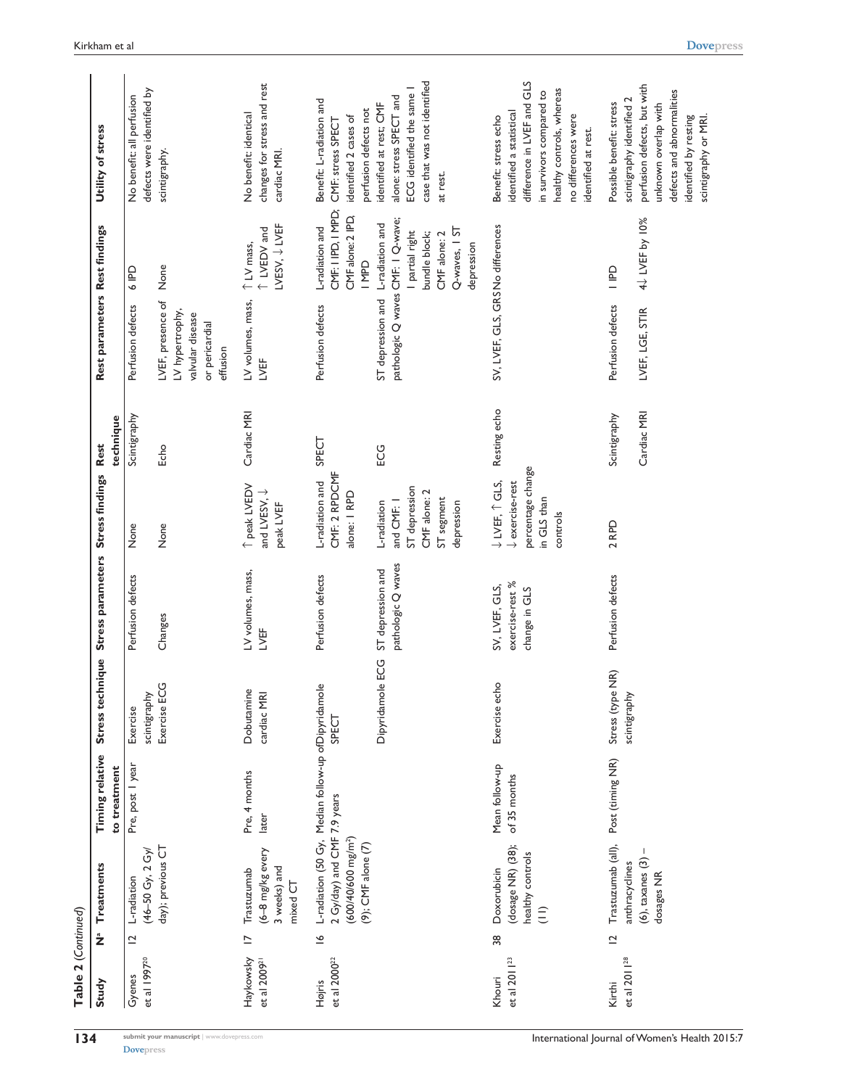| Table 2 (Continued)                   |                          |                                                                                                             |                                                     |                                  |                                                    |                                                                                                                  |                             |                                                                                        |                                                                                                   |                                                                                                                                                                                            |
|---------------------------------------|--------------------------|-------------------------------------------------------------------------------------------------------------|-----------------------------------------------------|----------------------------------|----------------------------------------------------|------------------------------------------------------------------------------------------------------------------|-----------------------------|----------------------------------------------------------------------------------------|---------------------------------------------------------------------------------------------------|--------------------------------------------------------------------------------------------------------------------------------------------------------------------------------------------|
| Study                                 | ż                        | Treatments                                                                                                  | Timing relative<br>to treatment                     | nique<br>Stress tech             | Stress parameters                                  | Stress findings                                                                                                  | technique<br>Rest           | Rest parameters Rest findings                                                          |                                                                                                   | Utility of stress                                                                                                                                                                          |
| et al $1997^{20}$<br>Gyenes           | $\overline{\mathbf{C}}$  | $(46 - 50 \text{ Gy}, 2 \text{ Gy})$<br>L-radiation                                                         | Pre, post I year                                    | scintigraphy<br>Exercise         | Perfusion defects                                  | None                                                                                                             | Scintigraphy                | Perfusion defects                                                                      | GIPD                                                                                              | defects were identified by<br>No benefit: all perfusion                                                                                                                                    |
|                                       |                          | day); previous CT                                                                                           |                                                     | Exercise ECG                     | Changes                                            | None                                                                                                             | Echo                        | LVEF, presence of<br>LV hypertrophy,<br>valvular disease<br>or pericardial<br>effusion | None                                                                                              | scintigraphy.                                                                                                                                                                              |
| Haykowsky<br>et al 2009 <sup>21</sup> | $\overline{\phantom{0}}$ | (6-8 mg/kg every<br>3 weeks) and<br>Trastuzumab<br>mixed CT                                                 | Pre, 4 months<br>later                              | Dobutamine<br>cardiac MRI        | LV volumes, mass,<br>LVEF                          | T peak LVEDV<br>and LVESV, $\downarrow$<br>peak LVEF                                                             | Cardiac MRI                 | LV volumes, mass,<br>LVEF                                                              | LVESV, J LVEF<br>TVEDV and<br>TLV mass,                                                           | changes for stress and rest<br>No benefit: identical<br>cardiac MRI.                                                                                                                       |
| et al $2000^{22}$<br>Højris           | $\tilde{=}$              | 2 Gy/day) and CMF 7.9 years<br>$(600/40/600 \text{ mg/m}^2)$<br>$(9)$ ; CMF alone $(7)$                     | L-radiation (50 Gy, Median follow-up ofDipyridamole | SPECT                            | Perfusion defects                                  | CMF: 2 RPDCMF<br>L-radiation and<br>alone:   RPD                                                                 | SPECT                       | Perfusion defects                                                                      | CMF: I IPD, I MPD;<br>CMF alone: 2 IPD,<br>L-radiation and<br><b>UANI</b>                         | Benefit: L-radiation and<br>perfusion defects not<br>identified 2 cases of<br>CMF: stress SPECT                                                                                            |
|                                       |                          |                                                                                                             |                                                     | ECG<br>Dipyridamole              | pathologic Q waves<br>ST depression and            | ST depression<br>CMF alone: 2<br>ST segment<br>and CMF: I<br>depression<br>L-radiation                           | ECG                         | pathologic Q waves CMF: I Q-wave;<br>ST depression and                                 | L-radiation and<br>Q-waves, IST<br>I partial right<br>CMF alone: 2<br>bundle block;<br>depression | case that was not identified<br>ECG identified the same I<br>alone: stress SPECT and<br>identified at rest; CMF<br>at rest.                                                                |
| et al $2011^{23}$<br>Khouri           | $\frac{8}{3}$            | (dosage NR) (38);<br>healthy controls<br>Doxorubicin<br>$\left( \begin{matrix} 1 \\ 1 \end{matrix} \right)$ | Mean follow-up<br>of 35 months                      | Exercise echo                    | exercise-rest %<br>SV, LVEF, GLS,<br>change in GLS | percentage change<br>$\downarrow$ LVEF, $\uparrow$ GLS,<br>$\downarrow$ exercise-rest<br>in GLS than<br>controls | Resting echo                | SV, LVEF, GLS, GRS No differences                                                      |                                                                                                   | difference in LVEF and GLS<br>healthy controls, whereas<br>in survivors compared to<br>identified a statistical<br>no differences were<br>Benefit: stress echo<br>identified at rest.      |
| et al $2011^{28}$<br>Kirthi           | $\overline{\mathbf{C}}$  | Trastuzumab (all),<br>$(6)$ , taxanes $(3)$<br>anthracyclines<br>dosages NR                                 | Post (timing NR)                                    | Stress (type NR)<br>scintigraphy | Perfusion defects                                  | 2 RPD                                                                                                            | Cardiac MRI<br>Scintigraphy | Perfusion defects<br>LVEF, LGE, STIR                                                   | 4 LVEF by 10%<br>$\overline{a}$                                                                   | perfusion defects, but with<br>defects and abnormalities<br>scintigraphy identified 2<br>Possible benefit: stress<br>unknown overlap with<br>identified by resting<br>scintigraphy or MRI. |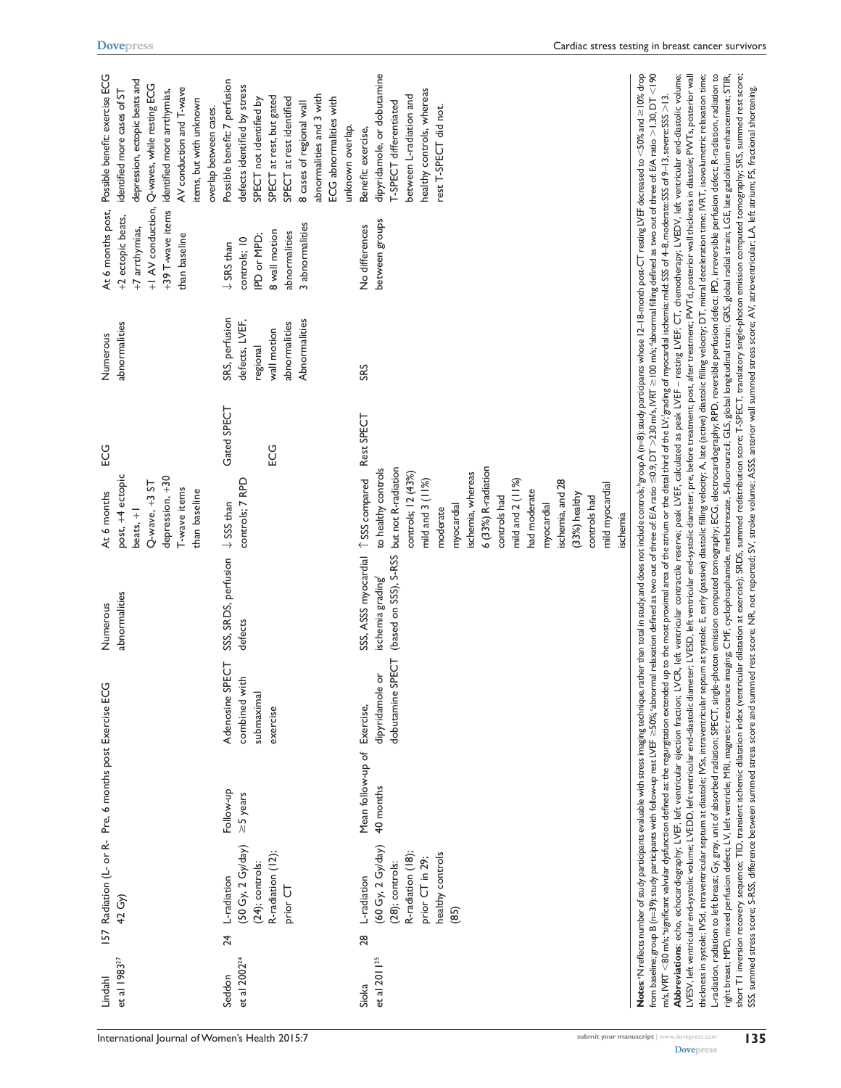| et al $198327$<br>Lindahl          |    | 42 Gy)                                                                                                                  | 157 Radiation (L- or R- Pre, 6 months post Exercise ECG |                                                                        | abnormalities<br>Numerous                                                        | post, +4 ectopic<br>depression, +30<br>$Q$ -wave, $+3$ ST<br>T-wave items<br>than baseline<br>At 6 months<br>$beats, +1$                                                                                                                                                                                         | ECG               | abnormalities<br>Numerous                                                                     | +1 AV conduction,<br>+39 T-wave items<br>At 6 months post,<br>+2 ectopic beats,<br>+7 arrthymias,<br>than baseline | Possible benefit: exercise ECG<br>depression, ectopic beats and<br>Q-waves, while resting ECG<br>AV conduction and T-wave<br>identified more cases of ST<br>identified more arrthymias,<br>tems, but with unknown<br>overlap between cases.                                                                                                                                                                                                                                                                                                                                                                                                                                                                                                                                                                                                                                                                                                                                                                                                                                                                                                                                                                                                                                                                                                                                                                                                                                                                                                                                                                                                                                                                                                                                                                                                                                                                                                                                                                                                                                                                                                                                                                                                                                                                                                               |
|------------------------------------|----|-------------------------------------------------------------------------------------------------------------------------|---------------------------------------------------------|------------------------------------------------------------------------|----------------------------------------------------------------------------------|------------------------------------------------------------------------------------------------------------------------------------------------------------------------------------------------------------------------------------------------------------------------------------------------------------------|-------------------|-----------------------------------------------------------------------------------------------|--------------------------------------------------------------------------------------------------------------------|-----------------------------------------------------------------------------------------------------------------------------------------------------------------------------------------------------------------------------------------------------------------------------------------------------------------------------------------------------------------------------------------------------------------------------------------------------------------------------------------------------------------------------------------------------------------------------------------------------------------------------------------------------------------------------------------------------------------------------------------------------------------------------------------------------------------------------------------------------------------------------------------------------------------------------------------------------------------------------------------------------------------------------------------------------------------------------------------------------------------------------------------------------------------------------------------------------------------------------------------------------------------------------------------------------------------------------------------------------------------------------------------------------------------------------------------------------------------------------------------------------------------------------------------------------------------------------------------------------------------------------------------------------------------------------------------------------------------------------------------------------------------------------------------------------------------------------------------------------------------------------------------------------------------------------------------------------------------------------------------------------------------------------------------------------------------------------------------------------------------------------------------------------------------------------------------------------------------------------------------------------------------------------------------------------------------------------------------------------------|
| et al 2002 <sup>24</sup><br>Seddon | 24 | (50 Gy, 2 Gy/day)<br>R-radiation (12);<br>(24); controls:<br>L-radiation<br>prior CT                                    | Follow-up<br>$\geq$ 5 years                             | <b>SPECT</b><br>combined with<br>Adenosine S<br>submaximal<br>exercise | SSS, SRDS, perfusion<br>defects                                                  | controls; 7 RPD<br>$\downarrow$ SSS than                                                                                                                                                                                                                                                                         | Gated SPECT<br>ρC | SRS, perfusion<br>defects, LVEF,<br>Abnormalities<br>abnormalities<br>wall motion<br>regional | 3 abnormalities<br>8 wall motion<br>abnormalities<br>IPD or MPD;<br>controls; 10<br>$\downarrow$ SRS than          | Possible benefit: 7 perfusion<br>defects identified by stress<br>abnormalities and 3 with<br>SPECT at rest, but gated<br>ECG abnormalities with<br>SPECT at rest identified<br>SPECT not identified by<br>8 cases of regional wall<br>unknown overlap.                                                                                                                                                                                                                                                                                                                                                                                                                                                                                                                                                                                                                                                                                                                                                                                                                                                                                                                                                                                                                                                                                                                                                                                                                                                                                                                                                                                                                                                                                                                                                                                                                                                                                                                                                                                                                                                                                                                                                                                                                                                                                                    |
| et al 2011 <sup>25</sup><br>Sioka  | 28 | (60 Gy, 2 Gy/day)<br>R-radiation (18);<br>healthy controls<br>prior CT in 29;<br>(28); controls:<br>L-radiation<br>(85) | Mean follow-up of Exercise,<br>40 months                | dobutamine SPECT<br>dipyridamole or                                    | SSS, ASSS myocardial 1 SSS compared<br>(based on SSS), S-RSS<br>ischemia grading | 6 (33%) R-radiation<br>but not R-radiation<br>to healthy controls<br>controls; 12 (43%)<br>schemia, whereas<br>ischemia, and 28<br>mild and $3(11%)$<br>mild and 2 (11%)<br>mild myocardial<br>had moderate<br>(33%) healthy<br>controls had<br>controls had<br>myocardial<br>myocardial<br>moderate<br>ischemia | Rest SPECT        | <b>SRS</b>                                                                                    | between groups<br>No differences                                                                                   | dipyridamole, or dobutamine<br>healthy controls, whereas<br>between L-radiation and<br><b>T-SPECT differentiated</b><br>rest T-SPECT did not.<br>Benefit: exercise,                                                                                                                                                                                                                                                                                                                                                                                                                                                                                                                                                                                                                                                                                                                                                                                                                                                                                                                                                                                                                                                                                                                                                                                                                                                                                                                                                                                                                                                                                                                                                                                                                                                                                                                                                                                                                                                                                                                                                                                                                                                                                                                                                                                       |
|                                    |    |                                                                                                                         |                                                         |                                                                        |                                                                                  |                                                                                                                                                                                                                                                                                                                  |                   |                                                                                               |                                                                                                                    | from baseline; group B (n=39); study participants with follow-up rest LYEF =50%; abnormal relaxation defined as two out of three of: E/A ratio ≤0.9, DT >230 m/s; lYRT ≥ I 00 m/s; 'abnormal filling defined as two out of th<br>thickness in systole; IVSd, intraventricular septum at diastole; IVSs, intraventricular septum at systole; E early (passive) diastolic filling velocity; A, late (active) diastolic filling velocity; DT, mitral deceleration<br>L-radiation, radiation to left breast, Gy, gray, unit of absorbed radiation; SPECT, single-photon emission computed tomography; ECG, electrocardiography; RPD, reversible perfusion defect; IPreversible perfusion defect; R-r<br>$\mathsf{Notes}:\mathsf{N}$ reflects number of study participants evaluable with stress imaging technique, rather than total in study,and does not include controls;"group A (r=8);study participants whose 12–18-month post-CT resting LV<br>Abbreviations: echo, echocardiography; LVEF, left ventricular ejection fraction; LVCR, left ventricular contractile reserve; peak LVEF, calculated as peak LVEF – resting LVEF, CT, chemotherapy; LVEDV, left ventricular end-<br>LVESV, left ventricular end-systolic volume; LVEDD, left ventricular end-diastolic diameter; left ventricular end-systolic diameter; pre, before treatment; post, after treatment; PVVTd, posterior wall hickness in diastole;<br>short TI inversion recovery sequence; TID, transient ischemic dilatation index (ventricular dilatation at exercise); SRDS, summed redistribution score; T-SPECT, translatory single-photon ennission computed tomography; SRS,<br>right breast MPD, mixed perfusion defect; LV, left ventricle; MRI, magnetic resonance imaging; CMF, cyclophosphamide, methotrexate, 5-fluorouracli; GLS, global longitudinal strain; GRS, global radial strain; LGE, late gado<br>SSS, summed stress score; S-RSS, difference between summed stress score and summed rest score; NR, not reported; SV, stroke volume; ASSS, anterior wall summed stress score; AV, atrioventricular; LA, left atrium; FS, fracti<br>m/s, IVRT <80 m/s; significant valvular dysfunction defined as: the regurgitation extended up to the most proximal area of the atrium or the distal third of the LV; fgrading of myocardial ischemia: mild: SSS of 4–8, moder |

**Dovepress**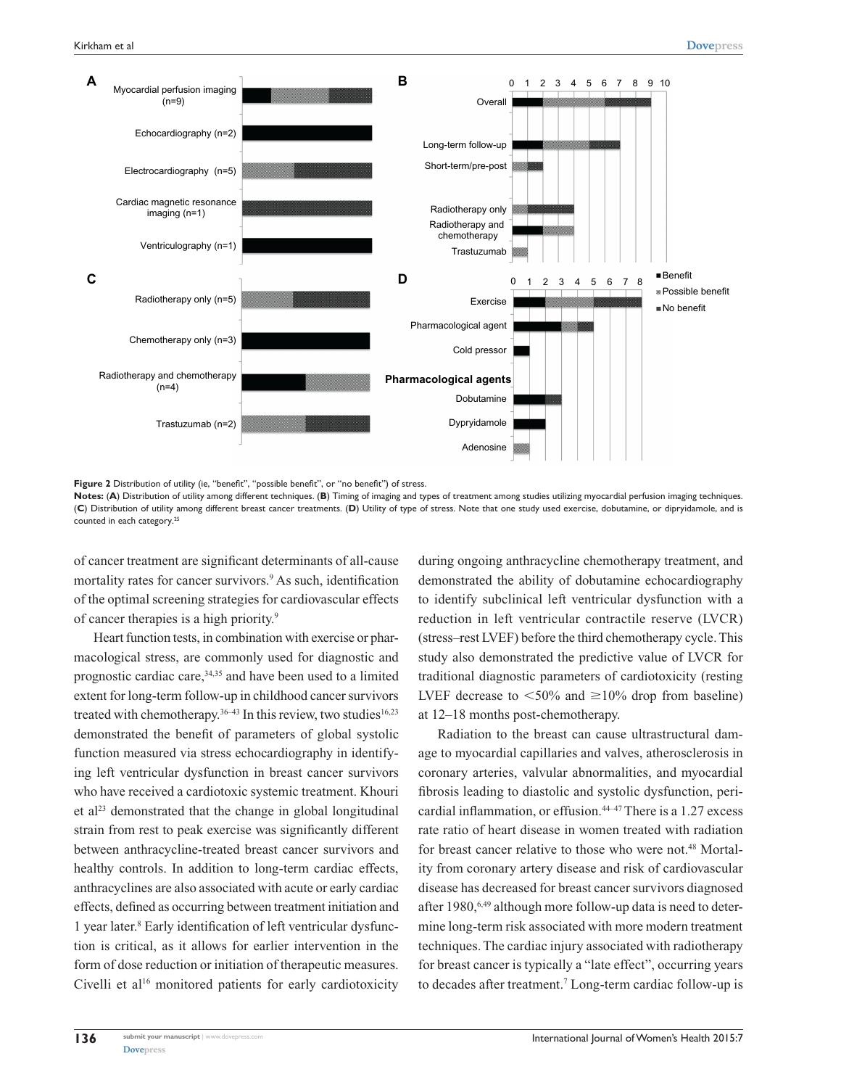

Figure 2 Distribution of utility (ie, "benefit", "possible benefit", or "no benefit") of stress.

**Notes:** (**A**) Distribution of utility among different techniques. (**B**) Timing of imaging and types of treatment among studies utilizing myocardial perfusion imaging techniques. (**C**) Distribution of utility among different breast cancer treatments. (**D**) Utility of type of stress. Note that one study used exercise, dobutamine, or dipryidamole, and is counted in each category.<sup>25</sup>

of cancer treatment are significant determinants of all-cause mortality rates for cancer survivors.<sup>9</sup> As such, identification of the optimal screening strategies for cardiovascular effects of cancer therapies is a high priority.9

Heart function tests, in combination with exercise or pharmacological stress, are commonly used for diagnostic and prognostic cardiac care,34,35 and have been used to a limited extent for long-term follow-up in childhood cancer survivors treated with chemotherapy.<sup>36–43</sup> In this review, two studies<sup>16,23</sup> demonstrated the benefit of parameters of global systolic function measured via stress echocardiography in identifying left ventricular dysfunction in breast cancer survivors who have received a cardiotoxic systemic treatment. Khouri et al<sup>23</sup> demonstrated that the change in global longitudinal strain from rest to peak exercise was significantly different between anthracycline-treated breast cancer survivors and healthy controls. In addition to long-term cardiac effects, anthracyclines are also associated with acute or early cardiac effects, defined as occurring between treatment initiation and 1 year later.8 Early identification of left ventricular dysfunction is critical, as it allows for earlier intervention in the form of dose reduction or initiation of therapeutic measures. Civelli et al<sup>16</sup> monitored patients for early cardiotoxicity

during ongoing anthracycline chemotherapy treatment, and demonstrated the ability of dobutamine echocardiography to identify subclinical left ventricular dysfunction with a reduction in left ventricular contractile reserve (LVCR) (stress–rest LVEF) before the third chemotherapy cycle. This study also demonstrated the predictive value of LVCR for traditional diagnostic parameters of cardiotoxicity (resting LVEF decrease to  $\leq 50\%$  and  $\geq 10\%$  drop from baseline) at 12–18 months post-chemotherapy.

Radiation to the breast can cause ultrastructural damage to myocardial capillaries and valves, atherosclerosis in coronary arteries, valvular abnormalities, and myocardial fibrosis leading to diastolic and systolic dysfunction, pericardial inflammation, or effusion.<sup>44-47</sup> There is a 1.27 excess rate ratio of heart disease in women treated with radiation for breast cancer relative to those who were not.<sup>48</sup> Mortality from coronary artery disease and risk of cardiovascular disease has decreased for breast cancer survivors diagnosed after 1980,<sup>6,49</sup> although more follow-up data is need to determine long-term risk associated with more modern treatment techniques. The cardiac injury associated with radiotherapy for breast cancer is typically a "late effect", occurring years to decades after treatment.7 Long-term cardiac follow-up is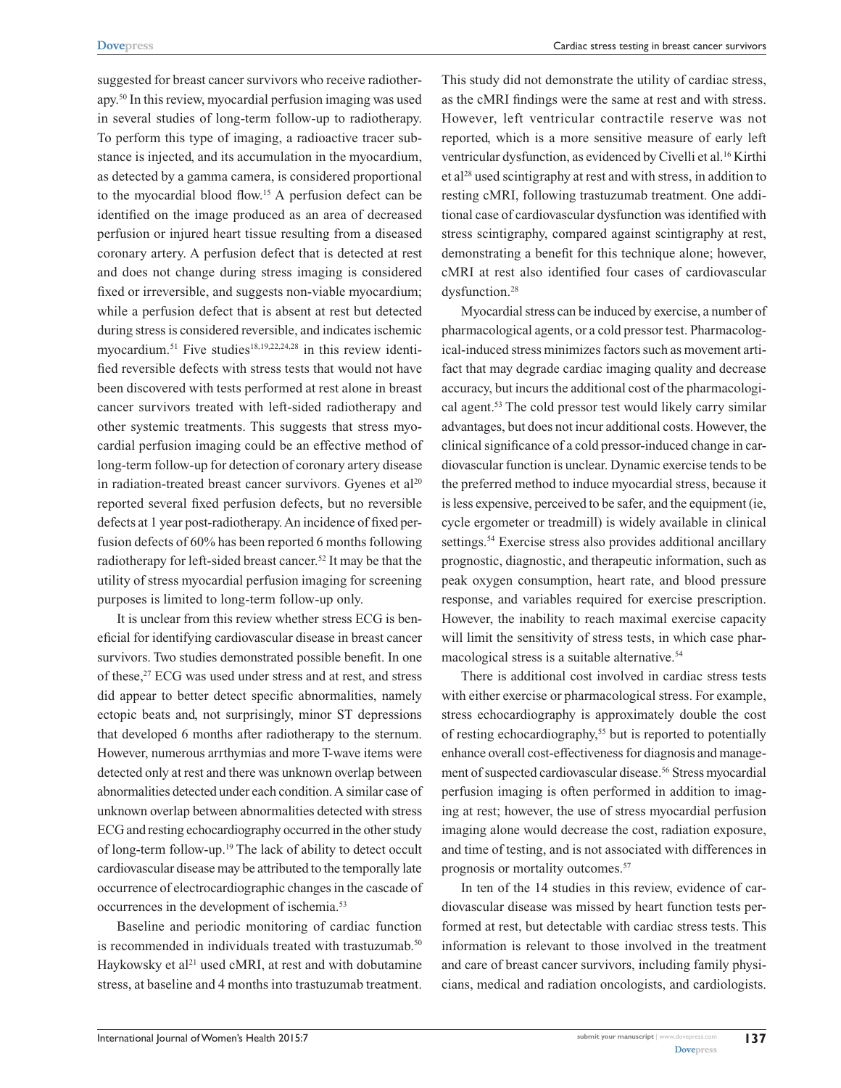suggested for breast cancer survivors who receive radiotherapy.50 In this review, myocardial perfusion imaging was used in several studies of long-term follow-up to radiotherapy. To perform this type of imaging, a radioactive tracer substance is injected, and its accumulation in the myocardium, as detected by a gamma camera, is considered proportional to the myocardial blood flow.15 A perfusion defect can be identified on the image produced as an area of decreased perfusion or injured heart tissue resulting from a diseased coronary artery. A perfusion defect that is detected at rest and does not change during stress imaging is considered fixed or irreversible, and suggests non-viable myocardium; while a perfusion defect that is absent at rest but detected during stress is considered reversible, and indicates ischemic myocardium.<sup>51</sup> Five studies<sup>18,19,22,24,28</sup> in this review identified reversible defects with stress tests that would not have been discovered with tests performed at rest alone in breast cancer survivors treated with left-sided radiotherapy and other systemic treatments. This suggests that stress myocardial perfusion imaging could be an effective method of long-term follow-up for detection of coronary artery disease in radiation-treated breast cancer survivors. Gyenes et  $al<sup>20</sup>$ reported several fixed perfusion defects, but no reversible defects at 1 year post-radiotherapy. An incidence of fixed perfusion defects of 60% has been reported 6 months following radiotherapy for left-sided breast cancer.<sup>52</sup> It may be that the utility of stress myocardial perfusion imaging for screening purposes is limited to long-term follow-up only.

It is unclear from this review whether stress ECG is beneficial for identifying cardiovascular disease in breast cancer survivors. Two studies demonstrated possible benefit. In one of these,<sup>27</sup> ECG was used under stress and at rest, and stress did appear to better detect specific abnormalities, namely ectopic beats and, not surprisingly, minor ST depressions that developed 6 months after radiotherapy to the sternum. However, numerous arrthymias and more T-wave items were detected only at rest and there was unknown overlap between abnormalities detected under each condition. A similar case of unknown overlap between abnormalities detected with stress ECG and resting echocardiography occurred in the other study of long-term follow-up.19 The lack of ability to detect occult cardiovascular disease may be attributed to the temporally late occurrence of electrocardiographic changes in the cascade of occurrences in the development of ischemia.<sup>53</sup>

Baseline and periodic monitoring of cardiac function is recommended in individuals treated with trastuzumab.<sup>50</sup> Haykowsky et al<sup>21</sup> used cMRI, at rest and with dobutamine stress, at baseline and 4 months into trastuzumab treatment.

This study did not demonstrate the utility of cardiac stress, as the cMRI findings were the same at rest and with stress. However, left ventricular contractile reserve was not reported, which is a more sensitive measure of early left ventricular dysfunction, as evidenced by Civelli et al.16 Kirthi et al28 used scintigraphy at rest and with stress, in addition to resting cMRI, following trastuzumab treatment. One additional case of cardiovascular dysfunction was identified with stress scintigraphy, compared against scintigraphy at rest, demonstrating a benefit for this technique alone; however, cMRI at rest also identified four cases of cardiovascular dysfunction.28

Myocardial stress can be induced by exercise, a number of pharmacological agents, or a cold pressor test. Pharmacological-induced stress minimizes factors such as movement artifact that may degrade cardiac imaging quality and decrease accuracy, but incurs the additional cost of the pharmacological agent.53 The cold pressor test would likely carry similar advantages, but does not incur additional costs. However, the clinical significance of a cold pressor-induced change in cardiovascular function is unclear. Dynamic exercise tends to be the preferred method to induce myocardial stress, because it is less expensive, perceived to be safer, and the equipment (ie, cycle ergometer or treadmill) is widely available in clinical settings.<sup>54</sup> Exercise stress also provides additional ancillary prognostic, diagnostic, and therapeutic information, such as peak oxygen consumption, heart rate, and blood pressure response, and variables required for exercise prescription. However, the inability to reach maximal exercise capacity will limit the sensitivity of stress tests, in which case pharmacological stress is a suitable alternative.<sup>54</sup>

There is additional cost involved in cardiac stress tests with either exercise or pharmacological stress. For example, stress echocardiography is approximately double the cost of resting echocardiography,55 but is reported to potentially enhance overall cost-effectiveness for diagnosis and management of suspected cardiovascular disease.<sup>56</sup> Stress myocardial perfusion imaging is often performed in addition to imaging at rest; however, the use of stress myocardial perfusion imaging alone would decrease the cost, radiation exposure, and time of testing, and is not associated with differences in prognosis or mortality outcomes.<sup>57</sup>

In ten of the 14 studies in this review, evidence of cardiovascular disease was missed by heart function tests performed at rest, but detectable with cardiac stress tests. This information is relevant to those involved in the treatment and care of breast cancer survivors, including family physicians, medical and radiation oncologists, and cardiologists.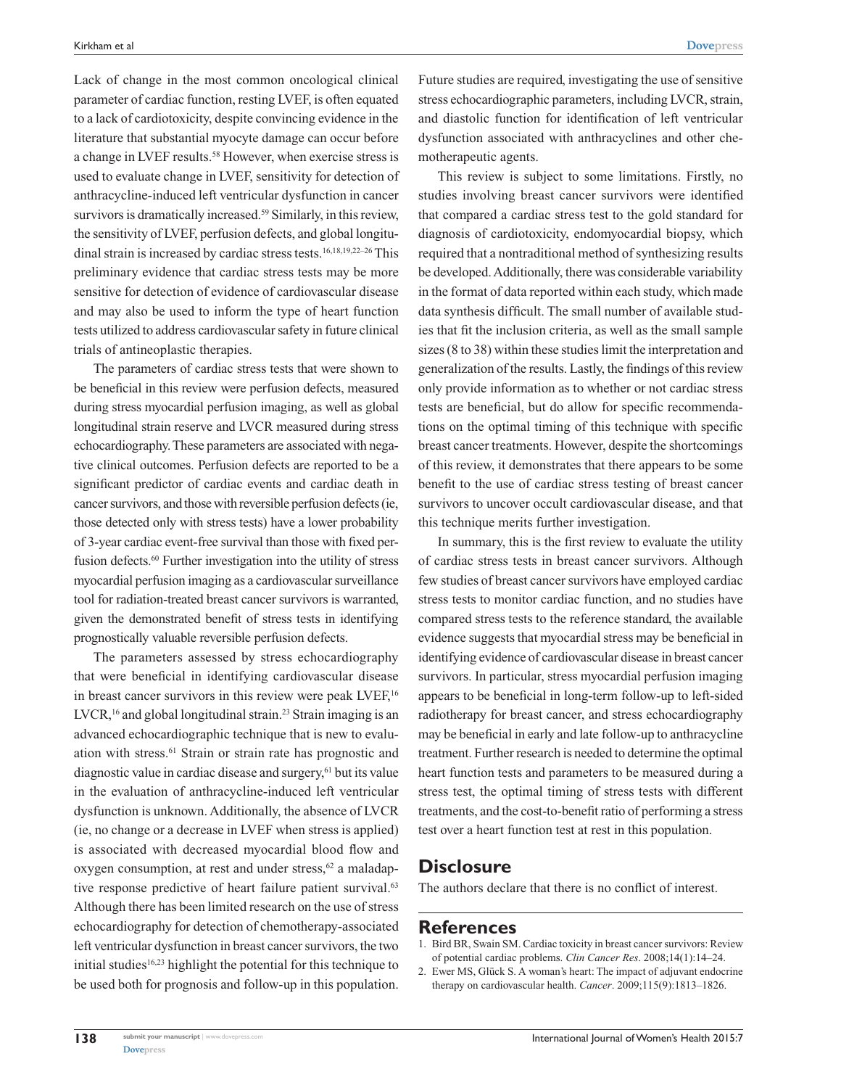Lack of change in the most common oncological clinical parameter of cardiac function, resting LVEF, is often equated to a lack of cardiotoxicity, despite convincing evidence in the literature that substantial myocyte damage can occur before a change in LVEF results.58 However, when exercise stress is used to evaluate change in LVEF, sensitivity for detection of anthracycline-induced left ventricular dysfunction in cancer survivors is dramatically increased.<sup>59</sup> Similarly, in this review, the sensitivity of LVEF, perfusion defects, and global longitudinal strain is increased by cardiac stress tests.16,18,19,22–26 This preliminary evidence that cardiac stress tests may be more sensitive for detection of evidence of cardiovascular disease and may also be used to inform the type of heart function tests utilized to address cardiovascular safety in future clinical trials of antineoplastic therapies.

The parameters of cardiac stress tests that were shown to be beneficial in this review were perfusion defects, measured during stress myocardial perfusion imaging, as well as global longitudinal strain reserve and LVCR measured during stress echocardiography. These parameters are associated with negative clinical outcomes. Perfusion defects are reported to be a significant predictor of cardiac events and cardiac death in cancer survivors, and those with reversible perfusion defects (ie, those detected only with stress tests) have a lower probability of 3-year cardiac event-free survival than those with fixed perfusion defects.<sup>60</sup> Further investigation into the utility of stress myocardial perfusion imaging as a cardiovascular surveillance tool for radiation-treated breast cancer survivors is warranted, given the demonstrated benefit of stress tests in identifying prognostically valuable reversible perfusion defects.

The parameters assessed by stress echocardiography that were beneficial in identifying cardiovascular disease in breast cancer survivors in this review were peak LVEF,<sup>16</sup>  $LVCR$ ,<sup>16</sup> and global longitudinal strain.<sup>23</sup> Strain imaging is an advanced echocardiographic technique that is new to evaluation with stress.61 Strain or strain rate has prognostic and diagnostic value in cardiac disease and surgery, $61$  but its value in the evaluation of anthracycline-induced left ventricular dysfunction is unknown. Additionally, the absence of LVCR (ie, no change or a decrease in LVEF when stress is applied) is associated with decreased myocardial blood flow and oxygen consumption, at rest and under stress,<sup>62</sup> a maladaptive response predictive of heart failure patient survival.<sup>63</sup> Although there has been limited research on the use of stress echocardiography for detection of chemotherapy-associated left ventricular dysfunction in breast cancer survivors, the two initial studies $16,23$  highlight the potential for this technique to be used both for prognosis and follow-up in this population. Future studies are required, investigating the use of sensitive stress echocardiographic parameters, including LVCR, strain, and diastolic function for identification of left ventricular dysfunction associated with anthracyclines and other chemotherapeutic agents.

This review is subject to some limitations. Firstly, no studies involving breast cancer survivors were identified that compared a cardiac stress test to the gold standard for diagnosis of cardiotoxicity, endomyocardial biopsy, which required that a nontraditional method of synthesizing results be developed. Additionally, there was considerable variability in the format of data reported within each study, which made data synthesis difficult. The small number of available studies that fit the inclusion criteria, as well as the small sample sizes (8 to 38) within these studies limit the interpretation and generalization of the results. Lastly, the findings of this review only provide information as to whether or not cardiac stress tests are beneficial, but do allow for specific recommendations on the optimal timing of this technique with specific breast cancer treatments. However, despite the shortcomings of this review, it demonstrates that there appears to be some benefit to the use of cardiac stress testing of breast cancer survivors to uncover occult cardiovascular disease, and that this technique merits further investigation.

In summary, this is the first review to evaluate the utility of cardiac stress tests in breast cancer survivors. Although few studies of breast cancer survivors have employed cardiac stress tests to monitor cardiac function, and no studies have compared stress tests to the reference standard, the available evidence suggests that myocardial stress may be beneficial in identifying evidence of cardiovascular disease in breast cancer survivors. In particular, stress myocardial perfusion imaging appears to be beneficial in long-term follow-up to left-sided radiotherapy for breast cancer, and stress echocardiography may be beneficial in early and late follow-up to anthracycline treatment. Further research is needed to determine the optimal heart function tests and parameters to be measured during a stress test, the optimal timing of stress tests with different treatments, and the cost-to-benefit ratio of performing a stress test over a heart function test at rest in this population.

#### **Disclosure**

The authors declare that there is no conflict of interest.

#### **References**

- 1. Bird BR, Swain SM. Cardiac toxicity in breast cancer survivors: Review of potential cardiac problems. *Clin Cancer Res*. 2008;14(1):14–24.
- Ewer MS, Glück S. A woman's heart: The impact of adjuvant endocrine therapy on cardiovascular health. *Cancer*. 2009;115(9):1813–1826.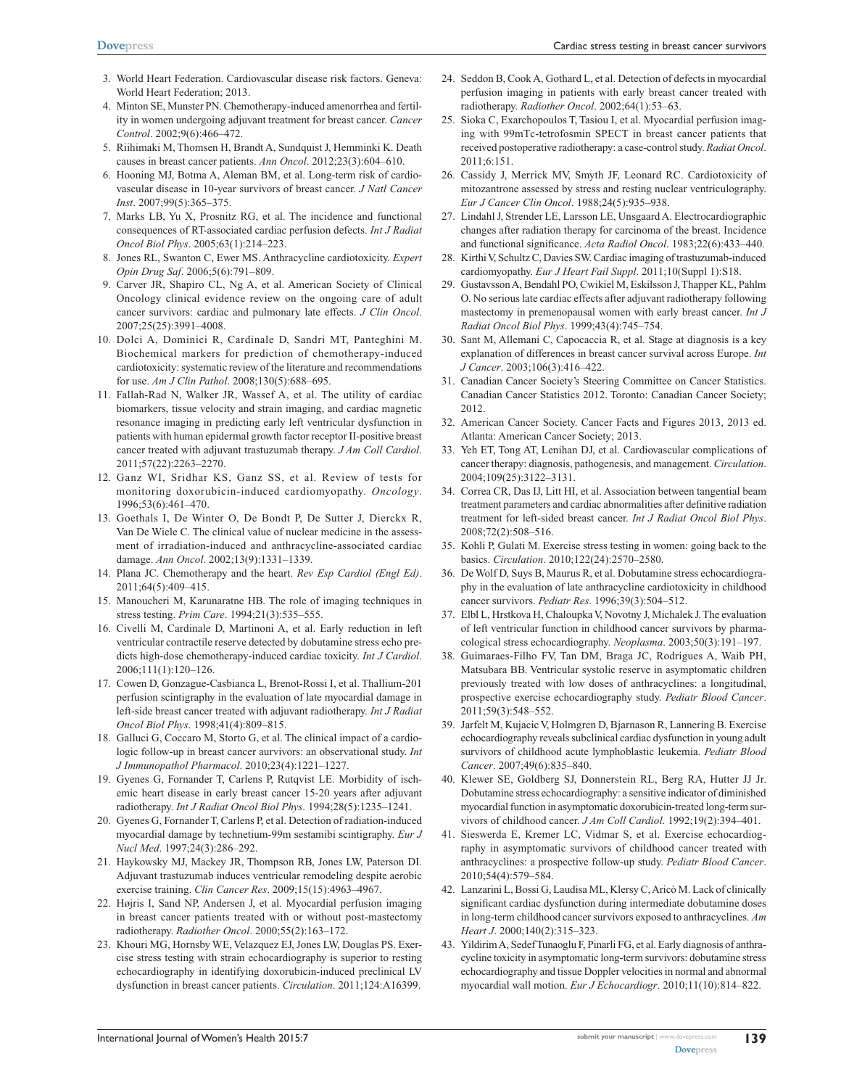- 3. World Heart Federation. Cardiovascular disease risk factors. Geneva: World Heart Federation; 2013.
- 4. Minton SE, Munster PN. Chemotherapy-induced amenorrhea and fertility in women undergoing adjuvant treatment for breast cancer. *Cancer Control*. 2002;9(6):466–472.
- 5. Riihimaki M, Thomsen H, Brandt A, Sundquist J, Hemminki K. Death causes in breast cancer patients. *Ann Oncol*. 2012;23(3):604–610.
- 6. Hooning MJ, Botma A, Aleman BM, et al. Long-term risk of cardiovascular disease in 10-year survivors of breast cancer. *J Natl Cancer Inst*. 2007;99(5):365–375.
- 7. Marks LB, Yu X, Prosnitz RG, et al. The incidence and functional consequences of RT-associated cardiac perfusion defects. *Int J Radiat Oncol Biol Phys*. 2005;63(1):214–223.
- 8. Jones RL, Swanton C, Ewer MS. Anthracycline cardiotoxicity. *Expert Opin Drug Saf*. 2006;5(6):791–809.
- 9. Carver JR, Shapiro CL, Ng A, et al. American Society of Clinical Oncology clinical evidence review on the ongoing care of adult cancer survivors: cardiac and pulmonary late effects. *J Clin Oncol*. 2007;25(25):3991–4008.
- 10. Dolci A, Dominici R, Cardinale D, Sandri MT, Panteghini M. Biochemical markers for prediction of chemotherapy-induced cardiotoxicity: systematic review of the literature and recommendations for use. *Am J Clin Pathol*. 2008;130(5):688–695.
- 11. Fallah-Rad N, Walker JR, Wassef A, et al. The utility of cardiac biomarkers, tissue velocity and strain imaging, and cardiac magnetic resonance imaging in predicting early left ventricular dysfunction in patients with human epidermal growth factor receptor II-positive breast cancer treated with adjuvant trastuzumab therapy. *J Am Coll Cardiol*. 2011;57(22):2263–2270.
- 12. Ganz WI, Sridhar KS, Ganz SS, et al. Review of tests for monitoring doxorubicin-induced cardiomyopathy. *Oncology*. 1996;53(6):461–470.
- 13. Goethals I, De Winter O, De Bondt P, De Sutter J, Dierckx R, Van De Wiele C. The clinical value of nuclear medicine in the assessment of irradiation-induced and anthracycline-associated cardiac damage. *Ann Oncol*. 2002;13(9):1331–1339.
- 14. Plana JC. Chemotherapy and the heart. *Rev Esp Cardiol (Engl Ed)*. 2011;64(5):409–415.
- 15. Manoucheri M, Karunaratne HB. The role of imaging techniques in stress testing. *Prim Care*. 1994;21(3):535–555.
- 16. Civelli M, Cardinale D, Martinoni A, et al. Early reduction in left ventricular contractile reserve detected by dobutamine stress echo predicts high-dose chemotherapy-induced cardiac toxicity. *Int J Cardiol*. 2006;111(1):120–126.
- 17. Cowen D, Gonzague-Casbianca L, Brenot-Rossi I, et al. Thallium-201 perfusion scintigraphy in the evaluation of late myocardial damage in left-side breast cancer treated with adjuvant radiotherapy. *Int J Radiat Oncol Biol Phys*. 1998;41(4):809–815.
- 18. Galluci G, Coccaro M, Storto G, et al. The clinical impact of a cardiologic follow-up in breast cancer aurvivors: an observational study. *Int J Immunopathol Pharmacol*. 2010;23(4):1221–1227.
- 19. Gyenes G, Fornander T, Carlens P, Rutqvist LE. Morbidity of ischemic heart disease in early breast cancer 15-20 years after adjuvant radiotherapy. *Int J Radiat Oncol Biol Phys*. 1994;28(5):1235–1241.
- 20. Gyenes G, Fornander T, Carlens P, et al. Detection of radiation-induced myocardial damage by technetium-99m sestamibi scintigraphy. *Eur J Nucl Med*. 1997;24(3):286–292.
- 21. Haykowsky MJ, Mackey JR, Thompson RB, Jones LW, Paterson DI. Adjuvant trastuzumab induces ventricular remodeling despite aerobic exercise training. *Clin Cancer Res*. 2009;15(15):4963–4967.
- 22. Højris I, Sand NP, Andersen J, et al. Myocardial perfusion imaging in breast cancer patients treated with or without post-mastectomy radiotherapy. *Radiother Oncol*. 2000;55(2):163–172.
- 23. Khouri MG, Hornsby WE, Velazquez EJ, Jones LW, Douglas PS. Exercise stress testing with strain echocardiography is superior to resting echocardiography in identifying doxorubicin-induced preclinical LV dysfunction in breast cancer patients. *Circulation*. 2011;124:A16399.
- 24. Seddon B, Cook A, Gothard L, et al. Detection of defects in myocardial perfusion imaging in patients with early breast cancer treated with radiotherapy. *Radiother Oncol*. 2002;64(1):53–63.
- 25. Sioka C, Exarchopoulos T, Tasiou I, et al. Myocardial perfusion imaging with 99mTc-tetrofosmin SPECT in breast cancer patients that received postoperative radiotherapy: a case-control study. *Radiat Oncol*. 2011;6:151.
- 26. Cassidy J, Merrick MV, Smyth JF, Leonard RC. Cardiotoxicity of mitozantrone assessed by stress and resting nuclear ventriculography. *Eur J Cancer Clin Oncol*. 1988;24(5):935–938.
- 27. Lindahl J, Strender LE, Larsson LE, Unsgaard A. Electrocardiographic changes after radiation therapy for carcinoma of the breast. Incidence and functional significance. *Acta Radiol Oncol*. 1983;22(6):433–440.
- 28. Kirthi V, Schultz C, Davies SW. Cardiac imaging of trastuzumab-induced cardiomyopathy. *Eur J Heart Fail Suppl*. 2011;10(Suppl 1):S18.
- 29. Gustavsson A, Bendahl PO, Cwikiel M, Eskilsson J, Thapper KL, Pahlm O. No serious late cardiac effects after adjuvant radiotherapy following mastectomy in premenopausal women with early breast cancer. *Int J Radiat Oncol Biol Phys*. 1999;43(4):745–754.
- 30. Sant M, Allemani C, Capocaccia R, et al. Stage at diagnosis is a key explanation of differences in breast cancer survival across Europe. *Int J Cancer*. 2003;106(3):416–422.
- 31. Canadian Cancer Society's Steering Committee on Cancer Statistics. Canadian Cancer Statistics 2012. Toronto: Canadian Cancer Society; 2012.
- 32. American Cancer Society. Cancer Facts and Figures 2013, 2013 ed. Atlanta: American Cancer Society; 2013.
- 33. Yeh ET, Tong AT, Lenihan DJ, et al. Cardiovascular complications of cancer therapy: diagnosis, pathogenesis, and management. *Circulation*. 2004;109(25):3122–3131.
- 34. Correa CR, Das IJ, Litt HI, et al. Association between tangential beam treatment parameters and cardiac abnormalities after definitive radiation treatment for left-sided breast cancer. *Int J Radiat Oncol Biol Phys*. 2008;72(2):508–516.
- 35. Kohli P, Gulati M. Exercise stress testing in women: going back to the basics. *Circulation*. 2010;122(24):2570–2580.
- 36. De Wolf D, Suys B, Maurus R, et al. Dobutamine stress echocardiography in the evaluation of late anthracycline cardiotoxicity in childhood cancer survivors. *Pediatr Res*. 1996;39(3):504–512.
- 37. Elbl L, Hrstkova H, Chaloupka V, Novotny J, Michalek J. The evaluation of left ventricular function in childhood cancer survivors by pharmacological stress echocardiography. *Neoplasma*. 2003;50(3):191–197.
- 38. Guimaraes-Filho FV, Tan DM, Braga JC, Rodrigues A, Waib PH, Matsubara BB. Ventricular systolic reserve in asymptomatic children previously treated with low doses of anthracyclines: a longitudinal, prospective exercise echocardiography study. *Pediatr Blood Cancer*. 2011;59(3):548–552.
- 39. Jarfelt M, Kujacic V, Holmgren D, Bjarnason R, Lannering B. Exercise echocardiography reveals subclinical cardiac dysfunction in young adult survivors of childhood acute lymphoblastic leukemia. *Pediatr Blood Cancer*. 2007;49(6):835–840.
- 40. Klewer SE, Goldberg SJ, Donnerstein RL, Berg RA, Hutter JJ Jr. Dobutamine stress echocardiography: a sensitive indicator of diminished myocardial function in asymptomatic doxorubicin-treated long-term survivors of childhood cancer. *J Am Coll Cardiol*. 1992;19(2):394–401.
- 41. Sieswerda E, Kremer LC, Vidmar S, et al. Exercise echocardiography in asymptomatic survivors of childhood cancer treated with anthracyclines: a prospective follow-up study. *Pediatr Blood Cancer*. 2010;54(4):579–584.
- 42. Lanzarini L, Bossi G, Laudisa ML, Klersy C, Aricò M. Lack of clinically significant cardiac dysfunction during intermediate dobutamine doses in long-term childhood cancer survivors exposed to anthracyclines. *Am Heart J*. 2000;140(2):315–323.
- 43. Yildirim A, Sedef Tunaoglu F, Pinarli FG, et al. Early diagnosis of anthracycline toxicity in asymptomatic long-term survivors: dobutamine stress echocardiography and tissue Doppler velocities in normal and abnormal myocardial wall motion. *Eur J Echocardiogr*. 2010;11(10):814–822.